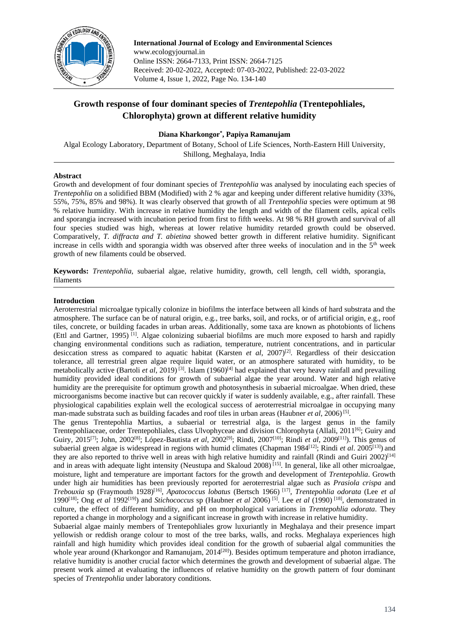

**International Journal of Ecology and Environmental Sciences** www.ecologyjournal.in Online ISSN: 2664-7133, Print ISSN: 2664-7125 Received: 20-02-2022, Accepted: 07-03-2022, Published: 22-03-2022 Volume 4, Issue 1, 2022, Page No. 134-140

# **Growth response of four dominant species of** *Trentepohlia* **(Trentepohliales, Chlorophyta) grown at different relative humidity**

# **Diana Kharkongor\* , Papiya Ramanujam**

Algal Ecology Laboratory, Department of Botany, School of Life Sciences, North-Eastern Hill University, Shillong, Meghalaya, India

#### **Abstract**

Growth and development of four dominant species of *Trentepohlia* was analysed by inoculating each species of *Trentepohlia* on a solidified BBM (Modified) with 2 % agar and keeping under different relative humidity (33%, 55%, 75%, 85% and 98%). It was clearly observed that growth of all *Trentepohlia* species were optimum at 98 % relative humidity. With increase in relative humidity the length and width of the filament cells, apical cells and sporangia increased with incubation period from first to fifth weeks. At 98 % RH growth and survival of all four species studied was high, whereas at lower relative humidity retarded growth could be observed. Comparatively, *T. diffracta and T. abietina* showed better growth in different relative humidity. Significant increase in cells width and sporangia width was observed after three weeks of inoculation and in the  $5<sup>th</sup>$  week growth of new filaments could be observed.

**Keywords:** *Trentepohlia*, subaerial algae, relative humidity, growth, cell length, cell width, sporangia, filaments

#### **Introduction**

Aeroterrestrial microalgae typically colonize in biofilms the interface between all kinds of hard substrata and the atmosphere. The surface can be of natural origin, e.g., tree barks, soil, and rocks, or of artificial origin, e.g., roof tiles, concrete, or building facades in urban areas. Additionally, some taxa are known as photobionts of lichens (Ettl and Gartner, 1995) [1] . Algae colonizing subaerial biofilms are much more exposed to harsh and rapidly changing environmental conditions such as radiation, temperature, nutrient concentrations, and in particular desiccation stress as compared to aquatic habitat (Karsten *et al*, 2007) [2] . Regardless of their desiccation tolerance, all terrestrial green algae require liquid water, or an atmosphere saturated with humidity, to be metabolically active (Bartoli *et al*, 2019)<sup>[3]</sup>. Islam (1960)<sup>[4]</sup> had explained that very heavy rainfall and prevailing humidity provided ideal conditions for growth of subaerial algae the year around. Water and high relative humidity are the prerequisite for optimum growth and photosynthesis in subaerial microalgae. When dried, these microorganisms become inactive but can recover quickly if water is suddenly available, e.g., after rainfall. These physiological capabilities explain well the ecological success of aeroterrestrial microalgae in occupying many man-made substrata such as building facades and roof tiles in urban areas (Haubner *et al*, 2006)<sup>[5]</sup>.

The genus Trentepohlia Martius, a subaerial or terrestrial alga, is the largest genus in the family Trentepohliaceae, order Trentepohliales, class Ulvophyceae and division Chlorophyta (Allali, 2011<sup>[6]</sup>; Guiry and Guiry, 2015[7]; John, 2002[8]; López-Bautista *et al*, 2002[9]; Rindi, 2007[10]; Rindi *et al*, 2009[11]). This genus of subaerial green algae is widespread in regions with humid climates (Chapman 1984<sup>[12]</sup>; Rindi *et al.* 2005<sup>[13]</sup>) and they are also reported to thrive well in areas with high relative humidity and rainfall (Rindi and Guiri 2002)<sup>[14]</sup> and in areas with adequate light intensity (Neustupa and Skaloud 2008)<sup>[15]</sup>. In general, like all other microalgae, moisture, light and temperature are important factors for the growth and development of *Trentepohlia*. Growth under high air humidities has been previously reported for aeroterrestrial algae such as *Prasiola crispa* and *Trebouxia* sp (Fraymouth 1928)[16] , *Apatococcus lobatus* (Bertsch 1966) [17] , *Trentepohlia odorata* (Lee *et al* 1990[18] ; Ong *et al* 1992[19] ) and *Stichococcus* sp (Haubner *et al* 2006) [5] . Lee *et al* (1990) [18] , demonstrated in culture, the effect of different humidity, and pH on morphological variations in *Trentepohlia odorata*. They reported a change in morphology and a significant increase in growth with increase in relative humidity.

Subaerial algae mainly members of Trentepohliales grow luxuriantly in Meghalaya and their presence impart yellowish or reddish orange colour to most of the tree barks, walls, and rocks. Meghalaya experiences high rainfall and high humidity which provides ideal condition for the growth of subaerial algal communities the whole year around (Kharkongor and Ramanujam,  $2014^{[20]}$ ). Besides optimum temperature and photon irradiance, relative humidity is another crucial factor which determines the growth and development of subaerial algae. The present work aimed at evaluating the influences of relative humidity on the growth pattern of four dominant species of *Trentepohlia* under laboratory conditions.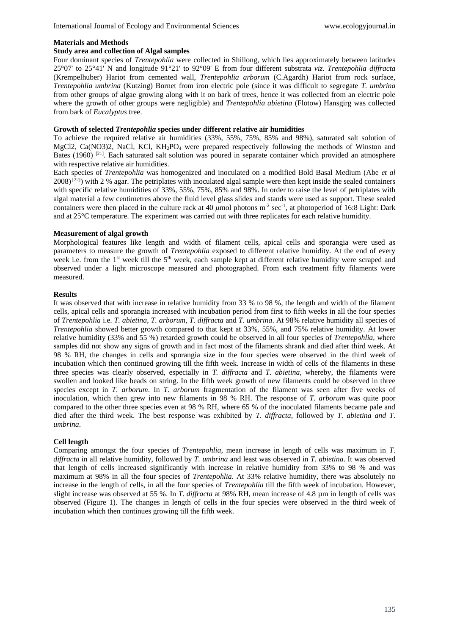#### **Materials and Methods**

## **Study area and collection of Algal samples**

Four dominant species of *Trentepohlia* were collected in Shillong, which lies approximately between latitudes 25°07' to 25°41' N and longitude 91°21' to 92°09' E from four different substrata *viz*. *Trentepohlia diffracta*  (Krempelhuber) Hariot from cemented wall, *Trentepohlia arborum* (C.Agardh) Hariot from rock surface, *Trentepohlia umbrina* (Kutzing) Bornet from iron electric pole (since it was difficult to segregate *T. umbrina* from other groups of algae growing along with it on bark of trees, hence it was collected from an electric pole where the growth of other groups were negligible) and *Trentepohlia abietina* (Flotow) Hansgirg was collected from bark of *Eucalyptus* tree.

#### **Growth of selected** *Trentepohlia* **species under different relative air humidities**

To achieve the required relative air humidities (33%, 55%, 75%, 85% and 98%), saturated salt solution of MgCl2, Ca(NO3)2, NaCl, KCl, KH<sub>2</sub>PO<sub>4</sub> were prepared respectively following the methods of Winston and Bates (1960)<sup>[21]</sup>. Each saturated salt solution was poured in separate container which provided an atmosphere with respective relative air humidities.

Each species of *Trentepohlia* was homogenized and inoculated on a modified Bold Basal Medium (Abe *et al*  $2008$ <sup>[22]</sup>) with 2 % agar. The petriplates with inoculated algal sample were then kept inside the sealed containers with specific relative humidities of 33%, 55%, 75%, 85% and 98%. In order to raise the level of petriplates with algal material a few centimetres above the fluid level glass slides and stands were used as support. These sealed containers were then placed in the culture rack at 40  $\mu$ mol photons m<sup>-2</sup> sec<sup>-1</sup>, at photoperiod of 16:8 Light: Dark and at 25°C temperature. The experiment was carried out with three replicates for each relative humidity.

#### **Measurement of algal growth**

Morphological features like length and width of filament cells, apical cells and sporangia were used as parameters to measure the growth of *Trentepohlia* exposed to different relative humidity. At the end of every week i.e. from the 1<sup>st</sup> week till the 5<sup>th</sup> week, each sample kept at different relative humidity were scraped and observed under a light microscope measured and photographed. From each treatment fifty filaments were measured.

#### **Results**

It was observed that with increase in relative humidity from 33 % to 98 %, the length and width of the filament cells, apical cells and sporangia increased with incubation period from first to fifth weeks in all the four species of *Trentepohlia* i.e. *T. abietina*, *T. arborum*, *T. diffracta* and *T. umbrina*. At 98% relative humidity all species of *Trentepohlia* showed better growth compared to that kept at 33%, 55%, and 75% relative humidity. At lower relative humidity (33% and 55 %) retarded growth could be observed in all four species of *Trentepohlia*, where samples did not show any signs of growth and in fact most of the filaments shrank and died after third week. At 98 % RH, the changes in cells and sporangia size in the four species were observed in the third week of incubation which then continued growing till the fifth week. Increase in width of cells of the filaments in these three species was clearly observed, especially in *T. diffracta* and *T. abietina*, whereby, the filaments were swollen and looked like beads on string. In the fifth week growth of new filaments could be observed in three species except in *T. arborum*. In *T. arborum* fragmentation of the filament was seen after five weeks of inoculation, which then grew into new filaments in 98 % RH. The response of *T. arborum* was quite poor compared to the other three species even at 98 % RH, where 65 % of the inoculated filaments became pale and died after the third week. The best response was exhibited by *T. diffracta*, followed by *T. abietina and T. umbrina*.

## **Cell length**

Comparing amongst the four species of *Trentepohlia*, mean increase in length of cells was maximum in *T. diffracta* in all relative humidity, followed by *T. umbrina* and least was observed in *T. abietina*. It was observed that length of cells increased significantly with increase in relative humidity from 33% to 98 % and was maximum at 98% in all the four species of *Trentepohlia*. At 33% relative humidity, there was absolutely no increase in the length of cells, in all the four species of *Trentepohlia* till the fifth week of incubation. However, slight increase was observed at 55 %. In *T. diffracta* at 98% RH, mean increase of 4.8 µm in length of cells was observed (Figure 1). The changes in length of cells in the four species were observed in the third week of incubation which then continues growing till the fifth week.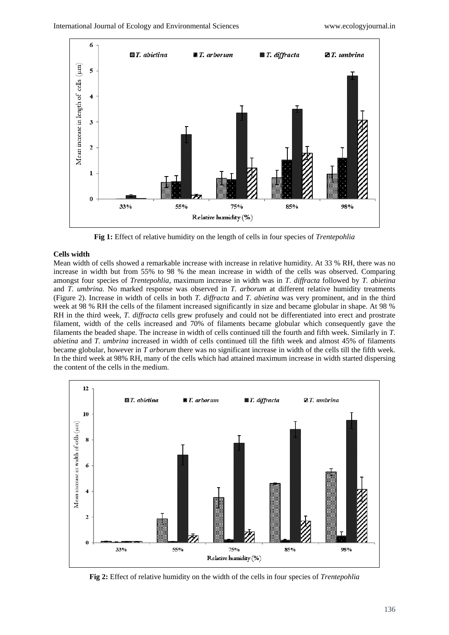

**Fig 1:** Effect of relative humidity on the length of cells in four species of *Trentepohlia*

#### **Cells width**

Mean width of cells showed a remarkable increase with increase in relative humidity. At 33 % RH, there was no increase in width but from 55% to 98 % the mean increase in width of the cells was observed. Comparing amongst four species of *Trentepohlia,* maximum increase in width was in *T. diffracta* followed by *T. abietina* and *T. umbrina.* No marked response was observed in *T. arborum* at different relative humidity treatments (Figure 2). Increase in width of cells in both *T. diffracta* and *T. abietina* was very prominent, and in the third week at 98 % RH the cells of the filament increased significantly in size and became globular in shape. At 98 % RH in the third week, *T. diffracta* cells grew profusely and could not be differentiated into erect and prostrate filament, width of the cells increased and 70% of filaments became globular which consequently gave the filaments the beaded shape. The increase in width of cells continued till the fourth and fifth week. Similarly in *T. abietina* and *T. umbrina* increased in width of cells continued till the fifth week and almost 45% of filaments became globular, however in *T arborum* there was no significant increase in width of the cells till the fifth week. In the third week at 98% RH, many of the cells which had attained maximum increase in width started dispersing the content of the cells in the medium.



**Fig 2:** Effect of relative humidity on the width of the cells in four species of *Trentepohlia*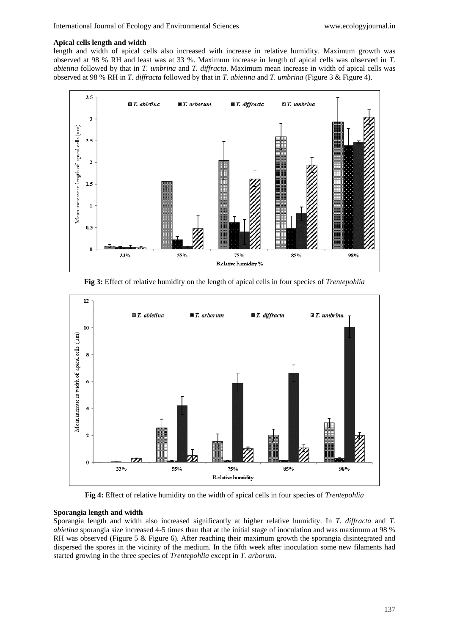#### **Apical cells length and width**

length and width of apical cells also increased with increase in relative humidity. Maximum growth was observed at 98 % RH and least was at 33 %. Maximum increase in length of apical cells was observed in *T. abietina* followed by that in *T. umbrina* and *T. diffracta*. Maximum mean increase in width of apical cells was observed at 98 % RH in *T. diffracta* followed by that in *T. abietina* and *T. umbrina* (Figure 3 & Figure 4).



**Fig 3:** Effect of relative humidity on the length of apical cells in four species of *Trentepohlia*



**Fig 4:** Effect of relative humidity on the width of apical cells in four species of *Trentepohlia*

## **Sporangia length and width**

Sporangia length and width also increased significantly at higher relative humidity. In *T. diffracta* and *T. abietina* sporangia size increased 4-5 times than that at the initial stage of inoculation and was maximum at 98 % RH was observed (Figure 5 & Figure 6). After reaching their maximum growth the sporangia disintegrated and dispersed the spores in the vicinity of the medium. In the fifth week after inoculation some new filaments had started growing in the three species of *Trentepohlia* except in *T. arborum*.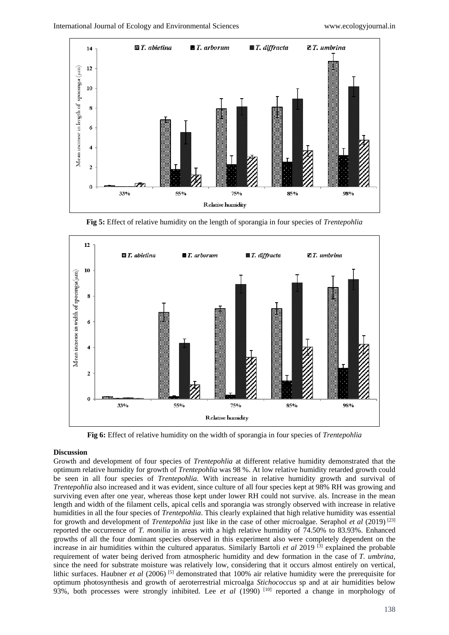

**Fig 5:** Effect of relative humidity on the length of sporangia in four species of *Trentepohlia*



**Fig 6:** Effect of relative humidity on the width of sporangia in four species of *Trentepohlia*

#### **Discussion**

Growth and development of four species of *Trentepohlia* at different relative humidity demonstrated that the optimum relative humidity for growth of *Trentepohlia* was 98 %. At low relative humidity retarded growth could be seen in all four species of *Trentepohlia*. With increase in relative humidity growth and survival of *Trentepohlia* also increased and it was evident, since culture of all four species kept at 98% RH was growing and surviving even after one year, whereas those kept under lower RH could not survive. als. Increase in the mean length and width of the filament cells, apical cells and sporangia was strongly observed with increase in relative humidities in all the four species of *Trentepohlia*. This clearly explained that high relative humidity was essential for growth and development of *Trentepohlia* just like in the case of other microalgae. Seraphol *et al* (2019) [23] reported the occurrence of *T. monilia* in areas with a high relative humidity of 74.50% to 83.93%. Enhanced growths of all the four dominant species observed in this experiment also were completely dependent on the increase in air humidities within the cultured apparatus. Similarly Bartoli *et al* 2019 [3] explained the probable requirement of water being derived from atmospheric humidity and dew formation in the case of *T. umbrina*, since the need for substrate moisture was relatively low, considering that it occurs almost entirely on vertical, lithic surfaces. Haubner *et al* (2006) [5] demonstrated that 100% air relative humidity were the prerequisite for optimum photosynthesis and growth of aeroterrestrial microalga *Stichococcus* sp and at air humidities below 93%, both processes were strongly inhibited. Lee *et al* (1990) [10] reported a change in morphology of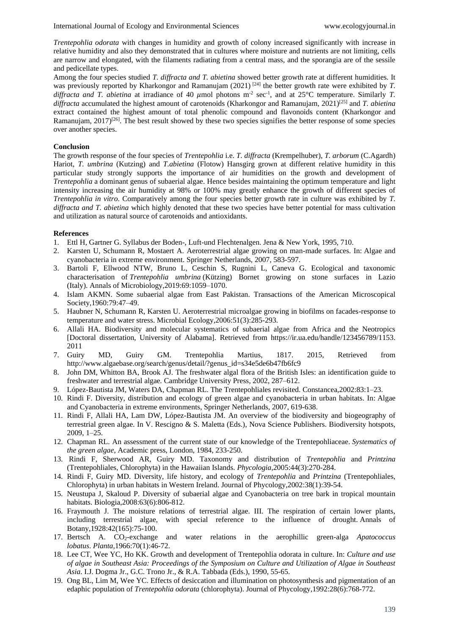*Trentepohlia odorata* with changes in humidity and growth of colony increased significantly with increase in relative humidity and also they demonstrated that in cultures where moisture and nutrients are not limiting, cells are narrow and elongated, with the filaments radiating from a central mass, and the sporangia are of the sessile and pedicellate types.

Among the four species studied *T. diffracta and T. abietina* showed better growth rate at different humidities. It was previously reported by Kharkongor and Ramanujam (2021)<sup>[24]</sup> the better growth rate were exhibited by *T*. diffracta and *T. abietina* at irradiance of 40  $\mu$ mol photons m<sup>-2</sup> sec<sup>-1</sup>, and at 25°C temperature. Similarly *T. diffracta* accumulated the highest amount of carotenoids (Kharkongor and Ramanujam, 2021) [25] and *T. abietina*  extract contained the highest amount of total phenolic compound and flavonoids content (Kharkongor and Ramanujam, 2017)<sup>[26]</sup>. The best result showed by these two species signifies the better response of some species over another species.

## **Conclusion**

The growth response of the four species of *Trentepohlia* i.e. *T. diffracta* (Krempelhuber), *T. arborum* (C.Agardh) Hariot, *T. umbrina* (Kutzing) and *T.abietina* (Flotow) Hansgirg grown at different relative humidity in this particular study strongly supports the importance of air humidities on the growth and development of *Trentepohlia* a dominant genus of subaerial algae. Hence besides maintaining the optimum temperature and light intensity increasing the air humidity at 98% or 100% may greatly enhance the growth of different species of *Trentepohlia in vitro*. Comparatively among the four species better growth rate in culture was exhibited by *T. diffracta and T. abietina* which highly denoted that these two species have better potential for mass cultivation and utilization as natural source of carotenoids and antioxidants.

#### **References**

- 1. Ettl H, Gartner G. Syllabus der Boden-, Luft-und Flechtenalgen. Jena & New York, 1995, 710.
- 2. Karsten U, Schumann R, Mostaert A. Aeroterrestrial algae growing on man-made surfaces. In: Algae and cyanobacteria in extreme environment. Springer Netherlands, 2007, 583-597.
- 3. Bartoli F, Ellwood NTW, Bruno L, Ceschin S, Rugnini L, Caneva G. Ecological and taxonomic characterisation of *Trentepohlia umbrina* (Kützing) Bornet growing on stone surfaces in Lazio (Italy). Annals of Microbiology,2019:69:1059–1070.
- 4. Islam AKMN. Some subaerial algae from East Pakistan. Transactions of the American Microscopical Society,1960:79:47–49.
- 5. Haubner N, Schumann R, Karsten U. Aeroterrestrial microalgae growing in biofilms on facades-response to temperature and water stress. Microbial Ecology,2006:51(3):285-293.
- 6. Allali HA. Biodiversity and molecular systematics of subaerial algae from Africa and the Neotropics [Doctoral dissertation, University of Alabama]. Retrieved from https://ir.ua.edu/handle/123456789/1153. 2011
- 7. Guiry MD, Guiry GM. Trentepohlia Martius, 1817. 2015, Retrieved from http://www.algaebase.org/search/genus/detail/?genus\_id=s34e5de6b47fb6fc9
- 8. John DM, Whitton BA, Brook AJ. The freshwater algal flora of the British Isles: an identification guide to freshwater and terrestrial algae*.* Cambridge University Press, 2002, 287–612.
- 9. López-Bautista JM, Waters DA, Chapman RL. The Trentepohliales revisited. Constancea,2002:83:1–23.
- 10. Rindi F. Diversity, distribution and ecology of green algae and cyanobacteria in urban habitats. In: Algae and Cyanobacteria in extreme environments, Springer Netherlands, 2007, 619-638.
- 11. Rindi F, Allali HA, Lam DW, López-Bautista JM. An overview of the biodiversity and biogeography of terrestrial green algae. In V. Rescigno & S. Maletta (Eds.), Nova Science Publishers. Biodiversity hotspots, 2009, 1–25.
- 12. Chapman RL. An assessment of the current state of our knowledge of the Trentepohliaceae. *Systematics of the green algae*, Academic press, London, 1984, 233-250.
- 13. Rindi F, Sherwood AR, Guiry MD. Taxonomy and distribution of *Trentepohlia* and *Printzina* (Trentepohliales, Chlorophyta) in the Hawaiian Islands. *Phycologia*,2005:44(3):270-284.
- 14. Rindi F, Guiry MD. Diversity, life history, and ecology of *Trentepohlia* and *Printzina* (Trentepohliales, Chlorophyta) in urban habitats in Western Ireland. Journal of Phycology,2002:38(1):39-54.
- 15. Neustupa J, Skaloud P. Diversity of subaerial algae and Cyanobacteria on tree bark in tropical mountain habitats. Biologia,2008:63(6):806-812.
- 16. Fraymouth J. The moisture relations of terrestrial algae. III. The respiration of certain lower plants, including terrestrial algae, with special reference to the influence of drought. Annals of Botany,1928:42(165):75-100.
- 17. Bertsch A. CO2-exchange and water relations in the aerophillic green-alga *Apatococcus lobatus*. *Planta*,1966:70(1):46-72.
- 18. Lee CT, Wee YC, Ho KK. Growth and development of Trentepohlia odorata in culture. In: *Culture and use of algae in Southeast Asia: Proceedings of the Symposium on Culture and Utilization of Algae in Southeast Asia*. I.J. Dogma Jr., G.C. Trono Jr., & R.A. Tabbada (Eds.), 1990, 55-65.
- 19. Ong BL, Lim M, Wee YC. Effects of desiccation and illumination on photosynthesis and pigmentation of an edaphic population of *Trentepohlia odorata* (chlorophyta). Journal of Phycology,1992:28(6):768-772.